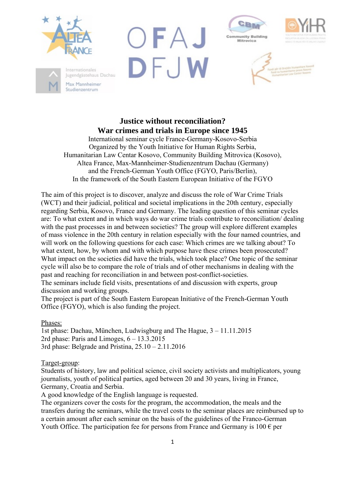







# **Justice without reconciliation? War crimes and trials in Europe since 1945**

International seminar cycle France-Germany-Kosovo-Serbia Organized by the Youth Initiative for Human Rights Serbia, Humanitarian Law Centar Kosovo, Community Building Mitrovica (Kosovo), Altea France, Max-Mannheimer-Studienzentrum Dachau (Germany) and the French-German Youth Office (FGYO, Paris/Berlin), In the framework of the South Eastern European Initiative of the FGYO

The aim of this project is to discover, analyze and discuss the role of War Crime Trials (WCT) and their judicial, political and societal implications in the 20th century, especially regarding Serbia, Kosovo, France and Germany. The leading question of this seminar cycles are: To what extent and in which ways do war crime trials contribute to reconciliation/ dealing with the past processes in and between societies? The group will explore different examples of mass violence in the 20th century in relation especially with the four named countries, and will work on the following questions for each case: Which crimes are we talking about? To what extent, how, by whom and with which purpose have these crimes been prosecuted? What impact on the societies did have the trials, which took place? One topic of the seminar cycle will also be to compare the role of trials and of other mechanisms in dealing with the past and reaching for reconciliation in and between post-conflict-societies.

The seminars include field visits, presentations of and discussion with experts, group discussion and working groups.

The project is part of the South Eastern European Initiative of the French-German Youth Office (FGYO), which is also funding the project.

Phases:

1st phase: Dachau, München, Ludwisgburg and The Hague, 3 – 11.11.2015 2rd phase: Paris and Limoges,  $6 - 13.3.2015$ 3rd phase: Belgrade and Pristina,  $25.10 - 2.11.2016$ 

Target-group:

Students of history, law and political science, civil society activists and multiplicators, young journalists, youth of political parties, aged between 20 and 30 years, living in France, Germany, Croatia and Serbia.

A good knowledge of the English language is requested.

The organizers cover the costs for the program, the accommodation, the meals and the transfers during the seminars, while the travel costs to the seminar places are reimbursed up to a certain amount after each seminar on the basis of the guidelines of the Franco-German Youth Office. The participation fee for persons from France and Germany is  $100 \epsilon$  per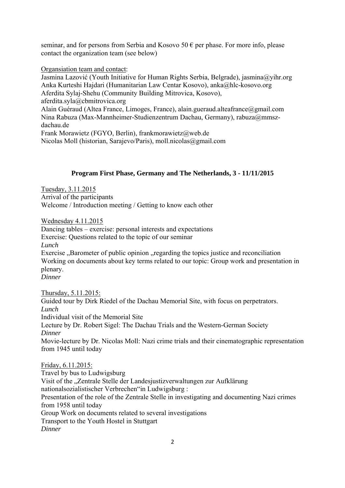seminar, and for persons from Serbia and Kosovo 50  $\epsilon$  per phase. For more info, please contact the organization team (see below)

#### Organsiation team and contact:

Jasmina Lazović (Youth Initiative for Human Rights Serbia, Belgrade), jasmina@yihr.org Anka Kurteshi Hajdari (Humanitarian Law Centar Kosovo), anka@hlc-kosovo.org Aferdita Sylaj-Shehu (Community Building Mitrovica, Kosovo), aferdita.syla@cbmitrovica.org Alain Guéraud (Altea France, Limoges, France), alain.gueraud.alteafrance@gmail.com Nina Rabuza (Max-Mannheimer-Studienzentrum Dachau, Germany), rabuza@mmszdachau.de Frank Morawietz (FGYO, Berlin), frankmorawietz@web.de Nicolas Moll (historian, Sarajevo/Paris), moll.nicolas@gmail.com

### **Program First Phase, Germany and The Netherlands, 3 - 11/11/2015**

Tuesday, 3.11.2015 Arrival of the participants Welcome / Introduction meeting / Getting to know each other

Wednesday 4.11.2015

Dancing tables – exercise: personal interests and expectations Exercise: Questions related to the topic of our seminar *Lunch*  Exercise . Barometer of public opinion regarding the topics justice and reconciliation Working on documents about key terms related to our topic: Group work and presentation in plenary. *Dinner* 

Thursday, 5.11.2015: Guided tour by Dirk Riedel of the Dachau Memorial Site, with focus on perpetrators. *Lunch*  Individual visit of the Memorial Site Lecture by Dr. Robert Sigel: The Dachau Trials and the Western-German Society *Dinner*  Movie-lecture by Dr. Nicolas Moll: Nazi crime trials and their cinematographic representation from 1945 until today Friday, 6.11.2015: Travel by bus to Ludwigsburg Visit of the "Zentrale Stelle der Landesjustizverwaltungen zur Aufklärung nationalsozialistischer Verbrechen"in Ludwigsburg : Presentation of the role of the Zentrale Stelle in investigating and documenting Nazi crimes

from 1958 until today

Group Work on documents related to several investigations

Transport to the Youth Hostel in Stuttgart

*Dinner*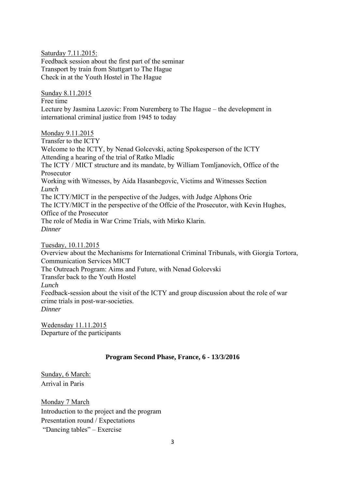Saturday 7.11.2015: Feedback session about the first part of the seminar Transport by train from Stuttgart to The Hague Check in at the Youth Hostel in The Hague

Sunday 8.11.2015 Free time Lecture by Jasmina Lazovic: From Nuremberg to The Hague – the development in international criminal justice from 1945 to today

Monday 9.11.2015

Transfer to the ICTY Welcome to the ICTY, by Nenad Golcevski, acting Spokesperson of the ICTY Attending a hearing of the trial of Ratko Mladic The ICTY / MICT structure and its mandate, by William Tomljanovich, Office of the Prosecutor Working with Witnesses, by Aida Hasanbegovic, Victims and Witnesses Section *Lunch*  The ICTY/MICT in the perspective of the Judges, with Judge Alphons Orie The ICTY/MICT in the perspective of the Offcie of the Prosecutor, with Kevin Hughes, Office of the Prosecutor The role of Media in War Crime Trials, with Mirko Klarin. *Dinner* 

Tuesday, 10.11.2015

Overview about the Mechanisms for International Criminal Tribunals, with Giorgia Tortora, Communication Services MICT

The Outreach Program: Aims and Future, with Nenad Golcevski

Transfer back to the Youth Hostel

*Lunch* 

Feedback-session about the visit of the ICTY and group discussion about the role of war crime trials in post-war-societies.

*Dinner* 

Wedensday 11.11.2015 Departure of the participants

## **Program Second Phase, France, 6 - 13/3/2016**

Sunday, 6 March: Arrival in Paris

Monday 7 March Introduction to the project and the program Presentation round / Expectations "Dancing tables" – Exercise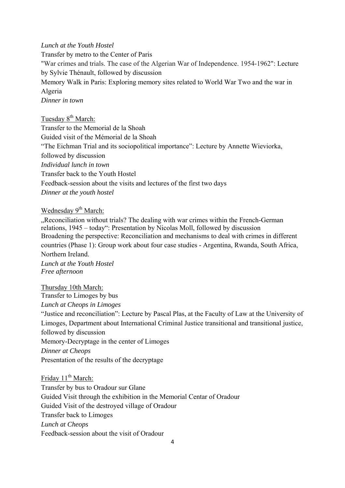### *Lunch at the Youth Hostel*

Transfer by metro to the Center of Paris "War crimes and trials. The case of the Algerian War of Independence. 1954-1962": Lecture by Sylvie Thénault, followed by discussion Memory Walk in Paris: Exploring memory sites related to World War Two and the war in Algeria *Dinner in town* 

Tuesday 8<sup>th</sup> March:

Transfer to the Memorial de la Shoah Guided visit of the Mémorial de la Shoah "The Eichman Trial and its sociopolitical importance": Lecture by Annette Wieviorka, followed by discussion *Individual lunch in town*  Transfer back to the Youth Hostel Feedback-session about the visits and lectures of the first two days *Dinner at the youth hostel* 

Wednesday 9<sup>th</sup> March:

Reconciliation without trials? The dealing with war crimes within the French-German relations, 1945 – today": Presentation by Nicolas Moll, followed by discussion Broadening the perspective: Reconciliation and mechanisms to deal with crimes in different countries (Phase 1): Group work about four case studies - Argentina, Rwanda, South Africa, Northern Ireland.

*Lunch at the Youth Hostel Free afternoon* 

Thursday 10th March: Transfer to Limoges by bus *Lunch at Cheops in Limoges*  "Justice and reconciliation": Lecture by Pascal Plas, at the Faculty of Law at the University of Limoges, Department about International Criminal Justice transitional and transitional justice, followed by discussion Memory-Decryptage in the center of Limoges *Dinner at Cheops*  Presentation of the results of the decryptage

Friday  $11<sup>th</sup>$  March: Transfer by bus to Oradour sur Glane Guided Visit through the exhibition in the Memorial Centar of Oradour Guided Visit of the destroyed village of Oradour Transfer back to Limoges *Lunch at Cheops*  Feedback-session about the visit of Oradour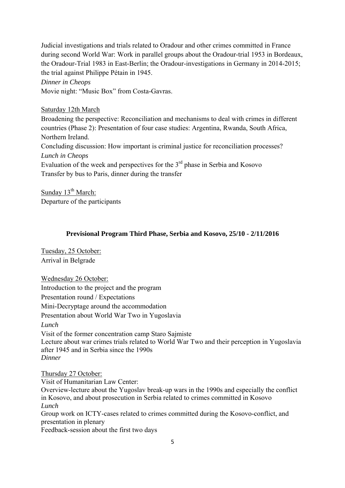Judicial investigations and trials related to Oradour and other crimes committed in France during second World War: Work in parallel groups about the Oradour-trial 1953 in Bordeaux, the Oradour-Trial 1983 in East-Berlin; the Oradour-investigations in Germany in 2014-2015; the trial against Philippe Pétain in 1945.

*Dinner in Cheops* 

Movie night: "Music Box" from Costa-Gavras.

### Saturday 12th March

Broadening the perspective: Reconciliation and mechanisms to deal with crimes in different countries (Phase 2): Presentation of four case studies: Argentina, Rwanda, South Africa, Northern Ireland. Concluding discussion: How important is criminal justice for reconciliation processes? *Lunch in Cheops*  Evaluation of the week and perspectives for the  $3<sup>rd</sup>$  phase in Serbia and Kosovo

Transfer by bus to Paris, dinner during the transfer

Sunday  $13<sup>th</sup> March$ : Departure of the participants

### **Previsional Program Third Phase, Serbia and Kosovo, 25/10 - 2/11/2016**

Tuesday, 25 October: Arrival in Belgrade

Wednesday 26 October: Introduction to the project and the program Presentation round / Expectations Mini-Decryptage around the accommodation Presentation about World War Two in Yugoslavia *Lunch*  Visit of the former concentration camp Staro Sajmiste Lecture about war crimes trials related to World War Two and their perception in Yugoslavia after 1945 and in Serbia since the 1990s *Dinner* 

Thursday 27 October:

Visit of Humanitarian Law Center: Overview-lecture about the Yugoslav break-up wars in the 1990s and especially the conflict in Kosovo, and about prosecution in Serbia related to crimes committed in Kosovo *Lunch*  Group work on ICTY-cases related to crimes committed during the Kosovo-conflict, and presentation in plenary Feedback-session about the first two days